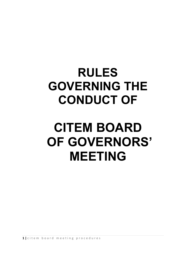# **RULES GOVERNING THE CONDUCT OF**

# **CITEM BOARD OF GOVERNORS' MEETING**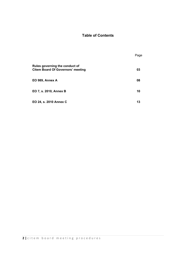# **Table of Contents**

|                                                                            | Page |
|----------------------------------------------------------------------------|------|
| Rules governing the conduct of<br><b>Citem Board Of Governors' meeting</b> | 03   |
| EO 989, Annex A                                                            | 08   |
| EO 7, s. 2010, Annex B                                                     | 10   |
| EO 24, s. 2010 Annex C                                                     | 13   |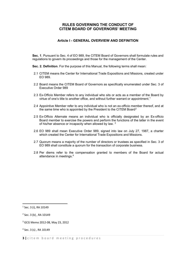# **RULES GOVERNING THE CONDUCT OF CITEM BOARD OF GOVERNORS' MEETING**

#### **Article I - GENERAL OVERVIEW AND DEFINITION**

**Sec. 1**. Pursuant to Sec. 4 of EO 989, the CITEM Board of Governors shall formulate rules and regulations to govern its proceedings and those for the management of the Center.

**Sec. 2. Definition**. For the purpose of this Manual, the following terms shall mean:

- 2.1 CITEM means the Center for International Trade Expositions and Missions, created under EO 989.
- 2.2 Board means the CITEM Board of Governors as specifically enumerated under Sec. 3 of Executive Order 989
- 2.3 Ex-Officio Member refers to any individual who sits or acts as a member of the Board by virtue of one's title to another office, and without further warrant or appointment.<sup>[1](#page-2-0)</sup>
- 2.4 Appointive Member refer to any individual who is not an ex-officio member thereof, and at the same time who is appointed by the President to the CITEM Board<sup>[2](#page-2-1)</sup>
- 2.5 Ex-Officio Alternate means an individual who is officially designated by an Ex-officio Board member to exercise the powers and perform the functions of the latter in the event of his/her absence or incapacity when allowed by law. <sup>[3](#page-2-2)</sup>
- 2.6 EO 989 shall mean Executive Order 989, signed into law on July 27, 1987, a charter which created the Center for International Trade Expositions and Missions.
- 2.7 Quorum means a majority of the number of directors or trustees as specified in Sec. 3 of EO 989 shall constitute a quorum for the transaction of corporate business.
- 2.8 Per diems refer to the compensation granted to members of the Board for actual attendance in meetings.[4](#page-2-3)

<span id="page-2-0"></span> $1$  Sec. 3 (i), RA 10149

<span id="page-2-1"></span><sup>2</sup> Sec. 3 (b) , RA 10149

<span id="page-2-2"></span><sup>3</sup> GCG Memo 2012-08, May 23, 2012

<span id="page-2-3"></span><sup>4</sup> Sec. 3 (s) , RA 10149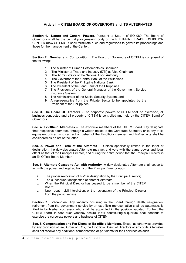## **Article II – CITEM BOARD OF GOVERNORS and ITS ALTERNATES**

**Section 1. Nature and General Powers**. Pursuant to Sec. 4 of EO 989, The Board of Governors shall be the central policy-making body of the PHILIPPINE TRADE EXHIBITION CENTER (now CITEM). It shall formulate rules and regulations to govern its proceedings and those for the management of the Center.

**Section 2. Number and Composition**. The Board of Governors of CITEM is composed of the following:

- 1. The Minister of Human Settlements as Chairman
- 2. The Minister of Trade and Industry (DTI) as Vice Chairman
- 3. The Administrator of the National Food Authority
- 4. The Governor of the Central Bank of the Philippines
- 5. The President of the Philippine National Bank
- 6. The President of the Land Bank of the Philippines
- 7. The President of the General Manager of the Government Service Insurance System
- 8. The Administrator of the Social Security System, and
- 9. A representative from the Private Sector to be appointed by the President of the Philippines.

**Sec. 3. The Board Of Directors** - The corporate powers of CITEM shall be exercised, all business conducted and all property of CITEM is controlled and held by the CITEM Board of Governors.

**Sec. 4. Ex-Officio Alternates** – The ex-officio members of the CITEM Board may designate their respective alternates, through a written notice to the Corporate Secretary or to any of its equivalent officer, who can act on behalf of the Ex-officio member, and his/her acts shall be considered as an act of the latter.

**Sec. 5. Power and Term of the Alternate** - Unless specifically limited in the letter of designation, the duly-designated Alternate may act and vote with the same power and legal effect as that of the Principal Director, and during the entire period that the Principal Director is an Ex Officio Board Member.

**Sec. 6. Alternate Ceases to Act with Authority**- A duly-designated Alternate shall cease to act with the power and legal authority of the Principal Director upon:

- a. The proper revocation of his/her designation by the Principal Director;
- b. The subsequent designation of another Alternate
- c. When the Principal Director has ceased to be a member of the CITEM Board;
- d. Upon death, civil interdiction, or the resignation of the Principal Director from the public service.

**Section 7. Vacancies.** Any vacancy occurring in the Board through death, resignation, retirement from the government service by an ex-officio representative shall be automatically filled in by his/her successor who shall be appointed in the position vacated. Further, the CITEM Board, in case such vacancy occurs, if still constituting a quorum, shall continue to exercise the corporate powers and business of CITEM.

**Sec. 8. Compensation and Per Diems of Ex-officio Members**. Except as otherwise provided by any provision of law, Order or EOs, the Ex-officio Board of Directors or any of its Alternates shall not receive any additional compensation or per diems for their services as such.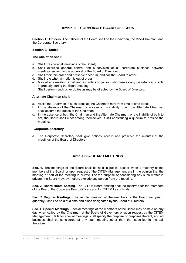# **Article III – CORPORATE BOARD OFFICERS**

**Section 1. Officers.** The Officers of the Board shall be the Chairman, the Vice-Chairman, and the Corporate Secretary.

#### **Section 2. Duties.**

#### **The Chairman shall:**

- a. Shall preside at all meetings of the Board;
- b. Shall exercise general control and supervision of all corporate business between meetings subject to the approval of the Board of Directors;
- c. Shall maintain order and preserve decorum, and call the Board to order
- d. Shall rule when a motion is out of order
- e. May at any meeting expel and exclude any person who creates any disturbance or acts improperly during the Board meeting.
- f. Shall perform such other duties as may be directed by the Board of Directors.

#### **Alternate Chairman shall:**

- a. Assist the Chairman in such areas as the Chairman may from time to time direct.
- b. In the absence of the Chairman or in case of his inability to act, the Alternate Chairman shall assume the duties of the Chairman.
- c. In the absence of both the Chairman and the Alternate Chairman, or the inability of both to act, the Board shall elect among themselves, if still constituting a quorum to preside the meeting.

#### **Corporate Secretary**.

a. The Corporate Secretary shall give notices, record and preserve the minutes of the meetings of the Board of Directors.

## **Article IV – BOARD MEETINGS**

**Sec. 1.** The meetings of the Board shall be held in public, except when a majority of the members of the Board, or upon request of the CITEM Management are in the opinion that the meeting or part of the meeting in private. For the purpose of considering any such matter in private, the Board may, by motion, exclude any person from the meeting.

**Sec. 2. Board Room Seating**. The CITEM Board seating shall be reserved for the members of the Board, the Corporate Board Officers and for CITEM key officials.

**Sec. 3 Regular Meetings**. The regular meeting of the members of the Board 4x/ year ( quarterly), shall be held at a time and place designated by the Board of Directors.

**Sec. 4. Special Meetings**. Special meetings of the members of the Board may be held on any day when called by the Chairman of the Board of Governors or upon request by the CITEM Management. Calls for special meetings shall specify the purpose or purposes thereof, and no business shall be considered at any such meeting other than that specified in the call therefore.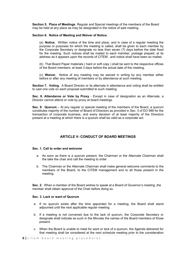**Section 5. Place of Meetings**. Regular and Special meetings of the members of the Board may be held at any place as may be designated in the notice of said meeting.

#### **Section 6. Notice of Meeting and Waiver of Notice.**

(a) **Notice.** Written notice of the time and place, and in case of a regular meeting the purpose or purposes for which the meeting is called, shall be given to each member by the Corporate Secretary or designate no less than seven (7) days before the date fixed for the meeting. Such notices shall be mailed to each member, postage prepaid, at its address as it appears upon the records of CITEM , and notice shall have been so mailed.

(b) That Board Paper materials ( hard or soft copy ) shall be sent to the respective offices of the Board members, at least 3 days before the actual date of the meeting.

(c) **Waiver.** Notice of any meeting may be waived in writing by any member either before or after any meeting of members or by attendance at such meeting.

**Section 7. Voting.** A Board Director or its alternate in attendance and voting shall be entitled to cast one vote on each proposal submitted to such meeting.

**Sec. 8. Attendance or Vote by Proxy** - Except in case of designation as an Alternate, a Director cannot attend or vote by proxy at board meetings.

**Sec. 9. Quorum** – At any regular or special meeting of the members of the Board, a quorum constitutes majority of the number of Board of Directors as provided in Sec. 3 of EO 989 for the transaction of corporate business, and every decision of at least majority of the Directors present at a meeting at which there is a quorum shall be valid as a corporate act.

## **ARTICLE V- CONDUCT OF BOARD MEETINGS**

#### **Sec. 1. Call to order and welcome**

- a. As soon as there is a quorum present, the Chairman or the Alternate Chairman shall the take the chair and call the meeting to order
- b. The Chairman or the Alternate Chairman shall make general welcome comments to the members of the Board, to the CITEM management and to all those present in the meeting.

**Sec. 2.** When a member of the Board wishes to speak at a Board of Governor's meeting ,the member shall obtain approval of the Chair before doing so.

#### **Sec. 3. Lack or want of Quorum**

- a. If no quorum exists after the time appointed for a meeting, the Board shall stand adjourned until the next applicable regular meeting.
- b. If a meeting is not convened due to the lack of quorum, the Corporate Secretary or designate shall indicate as such in the Minutes the names of the Board members of those present.
- c. When the Board is unable to meet for want or lack of a quorum, the Agenda delivered for that meeting shall be considered at the next schedule meeting prior to the consideration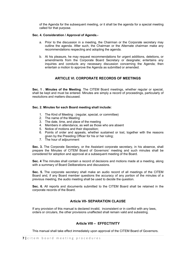of the Agenda for the subsequent meeting, or it shall be the agenda for a special meeting called for that purpose.

#### **Sec. 4. Consideration / Approval of Agenda.-**

- a. Prior to the discussion in a meeting, the Chairman or the Corporate secretary may outline the agenda. After such, the Chairman or the Alternate chairman make any recommendations respecting and adopting the agenda.
- b. At his pleasure, he may request recommendations for urgent additions, deletions, or amendments from the Corporate Board Secretary or designate; entertains any inquiries and conducts any necessary discussion concerning the Agenda; then entertain a motion to approve the Agenda as submitted or amended.

## **ARTICLE VI. CORPORATE RECORDS OF MEETINGS**

**Sec. 1 . Minutes of the Meeting**. The CITEM Board meetings, whether regular or special, shall be kept and must be entered. Minutes are simply a record of proceedings, particularly of resolutions and matters discussed.

#### **Sec. 2. Minutes for each Board meeting shall include:**

- 1. The Kind of Meeting : (regular, special, or committee)
- 2. The name of the Meeting
- 3. The date, time, and place of the meeting
- 4. Members in attendance, as well as those who are absent
- 5. Notice of motions and their disposition;
- 6. Points of order and appeals, whether sustained or lost, together with the reasons given by the Presiding Officer for his or her ruling;
- 7. The hour of adjournment

**Sec. 3.** The Corporate Secretary, or the Assistant corporate secretary, in his absence, shall prepare the Minutes of CITEM Board of Governors' meeting and such minutes shall be considered for adoption and approval at a subsequent meeting of the Board.

**Sec. 4** The minutes shall contain a record of decisions and motions made at a meeting, along with a summary of Board Deliberations and discussions.

**Sec. 5.** The corporate secretary shall make an audio record of all meetings of the CITEM Board and, if any Board member questions the accuracy of any portion of the minutes of a previous meeting, the audio meeting shall be used to decide the question.

**Sec. 6.** All reports and documents submitted to the CITEM Board shall be retained in the corporate records of the Board.

## **Article VII- SEPARATION CLAUSE**

If any provision of this manual is declared invalid, inconsistent or in conflict with any laws, orders or circulars, the other provisions unaffected shall remain valid and subsisting.

## **Article VIII – EFFECTIVITY**

This manual shall take effect immediately upon approval of the CITEM Board of Governors.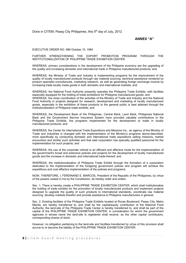Done in CITEM, Pasay City Philippines, this 5<sup>th</sup> day of July, 2012.

#### **ANNEX "A"**

EXECUTIVE ORDER NO. 989 October 10, 1984

FURTHER STRENGTHENING THE EXPORT PROMOTION PROGRAM THROUGH THE INSTITUTIONALIZATION OF PHILIPPINE TRADE EXHIBITION CENTER

WHEREAS, primary considerations in the development of the Philippine economy are the upgrading of the quality and increasing domestic and international trade in Philippine manufactured products; and

WHEREAS, the Ministry of Trade and Industry is implementing programs for the improvement of the quality of locally manufactured products through raw material sourcing, technical assistance rendered by product specialist consultancies, marketing research, as well as generating foreign exchange income by increasing trade locally made goods in both domestic and international markets; and

WHEREAS, the National Food Authority presently operates the Philippine Trade Exhibits, with facilities especially equipped for the holding of trade exhibitions for Philippine manufactured goods; and WHEREAS, the close coordination of the activities of the Ministry of Trade and Industry and the National Food Authority in projects designed for research, development and marketing of locally manufactured goods, especially in the exhibition of these products to the general public is best attained through the institutionalization of Philippine trade exhibits; and

WHEREAS, the Development Bank of the Philippines, Central Bank, Land Bank, Philippines National Bank and the Government Service Insurance System have provided valuable contributions to the Philippine Trade Exhibits, the programs implemented for the development or trade in locally manufactured products; and

WHEREAS, the Center for International Trade Expositions and Missions Inc., an agency of the Ministry of Trade and Industries is changed with the implementation of the Ministry's programs above-described, more specifically by conducting domestic and international trade expositions selling missions, market encounters and similar such activities and that said corporation has specially qualified personnel for the implementation for such projects; and

WHEREAS, the use of the corporate vehicle is an efficient and effective mode for the implementation of the government's broad and extensive policies and projects for the development of locally manufactured goods and the increase in domestic and international trade thereof; and

WHEREAS, the institutionalization of Philippine Trade Exhibit through the formation of a corporation dedicated to the implementation of the foregoing government polices and program will achieve the expeditious and cost effective implementation of the policies and programs;

NOW, THEREFORE, I, FERDINAND E. MARCOS, President of the Republic of the Philippines, by virtue of the powers vested in me by the Constitution, do hereby order and ordain;

Sec. 1. There is hereby create a PHILIPPINE TRADE EXHIBITION CENTER, which shall institutionalize the holding of trade exhibits for the promotion of locally manufactured products and implement projects designed to upgrade the quality of such products to international standards, coordinate raw material sourcing, develop markets therefor and provide assistance to Philippine manufacturers in general.

Sec. 2. Existing facilities of the Philippine Trade Exhibits located at Roxas Boulevard, Pasay City, Metro Manila, are hereby transferred to, and shall be the capital/equity contribution of the National Food Authority; the land-site of the Philippine Trade Center is hereby transferred to, and shall be part of the capital of the PHILIPPINE TRADE EXHIBITION CENTER, in consideration for which the government agencies in whose name the land-site is registered shall receive, as the other capital contributors, corresponding shares of stock.

However, no obligation pertaining to the land-site and facilities transferred by virtue of this provision shall accrue to or become the liability of the PHILIPPINE TRADE EXHIBITION CENTER.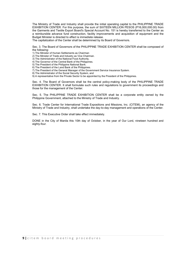The Ministry of Trade and Industry shall provide the initial operating capital to the PHILIPPINE TRADE EXHIBITION CENTER. For this purpose, the sum of SIXTEEN MILLION PESOS (P16,000,000.00) from the Garments and Textile Export Board's Special Account No. 151 is hereby transferred to the Center as a reimbursible advance fund construction, facility improvements and acquisition of equipment and the Budget Minister is directed to effect is immediate release.

The capitalization of the Center shall be determined by its Board of Governors.

Sec. 3. The Board of Governors of the PHILIPPINE TRADE EXHIBITION CENTER shall be composed of the following:

- 1) The Minister of Human Settlements as Chairman
- 2) The Minister of Trade and Industry as Vice Chairman.
- 3) The Administrator of the National Food Authority.
- 4) The Governor of the Central Bank of the Philippines.
- 5) The President of the Philippine National Bank.
- 6) The President of the Land Bank of the Philippines. 7) The President of the General Manager of the Government Service Insurance System.
- 8) The Administrator of the Social Security System, and
- 9) A representative from the Private Sector to be appointed by the President of the Philippines.

Sec. 4. The Board of Governors shall be the central policy-making body of the PHILIPPINE TRADE EXHIBITION CENTER. It shall formulate such rules and regulations to government its proceedings and those for the management of the Center.

Sec. 5. The PHILIPPINE TRADE EXHIBITION CENTER shall be a corporate entity owned by the Philippine Government, attached to the Ministry of Trade and Industry.

Sec. 6. Trade Center for International Trade Expositions and Missions, Inc. (CITEM), an agency of the Ministry of Trade and Industry, shall undertake the day-to-day management and operations of the Center.

Sec. 7. This Executive Order shall take effect immediately.

DONE in the City of Manila this 10th day of October, in the year of Our Lord, nineteen hundred and eighty-four.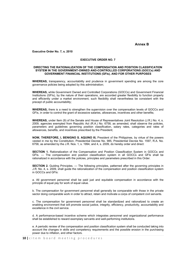#### **Annex B**

#### **Executive Order No. 7, s. 2010**

#### **EXECUTIVE ORDER NO. 7**

#### **DIRECTING THE RATIONALIZATION OF THE COMPENSATION AND POSITION CLASSIFICATION SYSTEM IN THE GOVERNMENT-OWNED AND-CONTROLLED CORPORATIONS (GOCCs) AND GOVERNMENT FINANCIAL INSTITUTIONS (GFIs), AND FOR OTHER PURPOSES**

**WHEREAS,** transparency, accountability and prudence in government spending are among the core governance policies being adopted by this administration;

**WHEREAS,** while Government Owned and Controlled Corporations (GOCCs) and Government Financial Institutions (GFIs), by the nature of their operations, are accorded greater flexibility to function properly and efficiently under a market environment, such flexibility shall nevertheless be consistent with the precept of public accountability;

**WHEREAS,** there is a need to strengthen the supervision over the compensation levels of GOCCs and GFIs, in order to control the grant of excessive salaries, allowances, incentives and other benefits;

**WHEREAS,** under Item (9) of the Senate and House of Representatives Joint Resolution (J.R.) No. 4, s. 2009, agencies exempted from Republic Act (R.A.) No. 6758, as amended, shall observe the policies, parameters and guidelines governing position classification, salary rates, categories and rates of allowances, benefits, and incentives prescribed by the President;

**NOW, THEREFORE, I, BENIGNO S. AQUINO III,** President of the Philippines, by virtue of the powers vested in me by the Constitution, Presidential Decree No. 985, Presidential Decree No. 1597, R.A. No. 6758, as amended by the J.R. Nos. 1, s. 1994, and 4, s. 2009, do hereby order and direct:

**SECTION 1.** Rationalization of the Compensation and Position Classification System in GOCCs and GFIs. — The compensation and position classification system in all GOCCs and GFIs shall be rationalized in accordance with the policies, principles and parameters prescribed in this Order.

**SECTION 2.** Guiding Principles. — The following principles, patterned after the governing principles in J.R. No. 4, s. 2009, shall guide the rationalization of the compensation and position classification system in GOCCs and GFIs:

a. All government personnel shall be paid just and equitable compensation in accordance with the principle of equal pay for work of equal value.

b. The compensation for government personnel shall generally be comparable with those in the private sector doing comparable work in order to attract, retain and motivate a corps of competent civil servants.

c. The compensation for government personnel shall be standardized and rationalized to create an enabling environment that will promote social justice, integrity, efficiency, productivity, accountability and excellence in the civil service.

d. A performance-based incentive scheme which integrates personnel and organizational performance shall be established to reward exemplary servants and well-performing institutions.

e. A periodic review of the compensation and position classification system shall be conducted taking into account the changes in skills and competency requirements and the possible erosion in the purchasing power due to inflation, and other factors.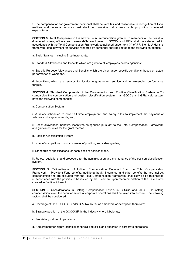f. The compensation for government personnel shall be kept fair and reasonable in recognition of fiscal realities and personal services cost shall be maintained at a reasonable proportion of over-all expenditures.

**SECTION 3.** Total Compensation Framework. – All remuneration granted to members of the board of directors/trustees, officers and rank-and-file employees of GOCCs and GFIs shall be categorized in accordance with the Total Compensation Framework established under Item (4) of J.R. No. 4. Under this framework, total payment for services rendered by personnel shall be limited to the following categories:

a. Basic Salaries, including Step Increments;

b. Standard Allowances and Benefits which are given to all employees across agencies;

c. Specific-Purpose Allowances and Benefits which are given under specific conditions, based on actual performance of work; and,

d. Incentives, which are rewards for loyalty to government service and for exceeding performance targets.

**SECTION 4.** Standard Components of the Compensation and Position Classification System. – To standardize the compensation and position classification system in all GOCCs and GFIs, said system have the following components:

a. Compensation System

i. A salary scheduled to cover full-time employment, and salary rules to implement the payment of salaries and step increments; and,

ii. Set of allowances, benefits, incentives categorized pursuant to the Total Compensation Framework; and guidelines, rules for the grant thereof.

b. Position Classification System

i. Index of occupational groups, classes of position, and salary grades;

ii. Standards of specifications for each class of positions; and,

iii. Rules, regulations, and procedure for the administration and maintenance of the position classification system.

**SECTION 5.** Rationalization of Indirect Compensation Excluded from the Total Compensation Framework. – Provident Fund benefits, additional health insurance, and other benefits that are indirect compensation and are excluded from the Total Compensation Framework, shall likewise be rationalized in accordance with the policies to be issued by the President upon recommendation of the Task Force created in Section 7 hereof.

**SECTION 6.** Considerations in Setting Compensation Levels in GOCCs and GFIs. - In setting compensation level, the peculiar nature of corporate operations shall be taken into account. The following factors shall be considered:

a. Coverage of the GOCC/GFI under R.A. No. 6758, as amended, or exemption therefrom;

b. Strategic position of the GOCC/GFI in the industry where it belongs;

c. Proprietary nature of operations;

d. Requirement for highly technical or specialized skills and expertise in corporate operations;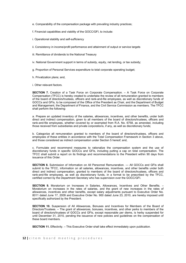- e. Comparability of the compensation package with prevailing industry practices;
- f. Financial capabilities and viability of the GOCC/GFI, to include:
- i. Operational stability and self-sufficiency
- ii. Consistency in income/profit performance and attainment of output or service targets
- iii. Remittance of dividends to the National Treasury
- iv. National Government support in terms of subsidy, equity, net lending, or tax subsidy;
- g. Proportion of Personal Services expenditure to total corporate operating budget;
- h. Privatization plans; and,

i. Other relevant factors.

**SECTION 7.** Creation of a Task Force on Corporate Compensation. – A Task Force on Corporate Compensation (TFCC) is hereby created to undertake the review of all remuneration granted to members of the board of directors/trustees, officers and rank-and-file employees, as well as discretionary funds of GOCCs and GFIs, to be composed of the Office of the President as Chair, and the Department of Budget and Management, the Department of Finance, and the Civil Service Commission as members. The TFCC shall perform the following:

a. Prepare an updated inventory of the salaries, allowances, incentives, and other benefits, under both direct and indirect compensation, given to all members of the board of directors/trustees, officers and rank-and-file employees, whether covered by or exempted from R.A. No. 6758, as amended, including those received from subsidiaries and private corporations, if any, as well as discretionary funds;

b. Categorize all remuneration granted to members of the board of directors/trustees, officers and employees of these entities in accordance with the Total Compensation Framework in Section 3 above, and those considered as indirect compensation under Section 5 hereof; and,

c. Formulate and recommend measures to rationalize the compensation system and the use of discretionary funds in specific GOCCs and GFIs, including putting a cap on total compensation. The TFCC shall submit a report on its findings and recommendations to the President within 90 days from issuance of this Order.

**SECTION 8.** Submission of Information on All Personnel Remuneration. — All GOCCs and GFIs shall submit to the TFCC, information on all salaries, allowances, incentives, and other benefits under both direct and indirect compensation, granted to members of the board of directors/trustees, officers and rank-and-file employees, as well as discretionary funds, in a format to be prescribed by the TFCC, certified correct by the Department Secretary who has supervision over the GOCC/GFI.

**SECTION 9.** Moratorium on Increases in Salaries, Allowances, Incentives and Other Benefits. – Moratorium on increases in the rates of salaries, and the grant of new increases in the rates of allowances, incentives and other benefits, except salary adjustments pursuant to Executive Order No. 8011 dated June 17, 2009 and Executive Order No. 900 dated June 23, 2010, are hereby imposed until specifically authorized by the President.

**SECTION 10.** Suspension of All Allowances, Bonuses and Incentives for Members of the Board of Directors/Trustees. – The grant of allowances, bonuses, incentives, and other perks to members of the board of directors/trustees of GOCCs and GFIs, except reasonable per diems, is herby suspended for until December 31, 2010, pending the issuance of new policies and guidelines on the compensation of these board members.

**SECTION 11.** Effectivity. – This Executive Order shall take effect immediately upon publication.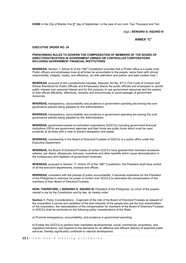**DONE** in the City of Manila, this 8<sup>th</sup> day of September, in the year of our Lord, Two Thousand and Ten.

(Sgd.) **BENIGNO S. AQUINO III**

**ANNEX "C"**

#### **EXECUTIVE ORDER NO. 24**

#### **PRESCRIBING RULES TO GOVERN THE COMPENSATION OF MEMBERS OF THE BOARD OF DIRECTORS/TRUSTEES IN GOVERNMENT-OWNED OR CONTROLLED CORPORATIONS INCLUDING GOVERNMENT FINANCIAL INSTITUTIONS**

**WHEREAS,** Section 1, Article XI of the 1987 Constitution provides that a "Public office is a public trust. Public officers and employees must at all times be accountable to the people, serve them with utmost responsibility, integrity, loyalty, and efficiency, act with patriotism and justice, and lead modest lives.";

**WHEREAS,** pursuant to this constitutional mandate, Republic Act No. 6713 (The Code of Conduct and Ethical Standards for Public Officials and Employees) directs the public officials and employees to uphold public interest over personal interest and for this purpose, to use government resources and the powers of their offices efficiently, effectively, honestly and economically to avoid wastage of government resources;

**WHEREAS,** transparency, accountability and prudence in government spending are among the core governance policies being adopted by this Administration;

**WHEREAS,** transparency, accountability and prudence in government spending are among the core governance policies being adopted by this Administration;

**WHEREAS,** government-owned or-controlled corporations (GOCCs) including government financial institutions (GFIs) are government agencies and their funds are public funds which must be used prudently at all times with a view to prevent dissipation and waste;

**WHEREAS,** membership in the Board of Directors/Trustees of GOCCs is a public office under the Executive Department;

**WHEREAS,** the Board of Directors/Trustees of certain GOCCs have granted their members excessive salaries, per diems, allowances, bonuses, incentives and other benefits which cause demoralization in the bureaucracy and depletion of government revenues;

**WHEREAS,** pursuant to Section 17, Article VII of the 1987 Constitution, the President shall have control of all the executive departments, bureaus and offices;

**WHEREAS,** consistent with the precept of public accountability, it becomes imperative for the President of the Philippines to exercise his power of control over GOCCs to rationalize the compensation of the members of their Board of Directors/Trustees.

**NOW, THEREFORE, I, BENIGNO S. AQUINO III,** President of the Philippines, by virtue of the powers vested in me by the Constitution and by law, do hereby order:

**Section 1.** *Policy Considerations* - Cognizant of the role of the Board of Directors/Trustees as steward of the corporation it serves and caretaker of the best interests of the people who are the true shareholders of the corporation, the rationalization of the compensation for members of the Board of Directors/Trustees in GOCCs shall be anchored on the following policy considerations of the State:

a) Promote transparency, accountability, and prudence in government spending;

b) Enable the GOCCs to perform their mandated developmental, social, commercial, proprietary, and regulatory functions, and respond to the demands for an effective and efficient delivery of essential public services, thereby significantly contribute to national development;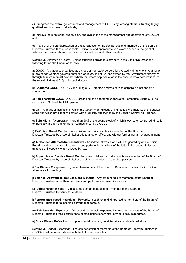c) Strengthen the overall governance and management of GOCCs by, among others, attracting highly qualified and competent individuals;

d) Improve the monitoring, supervision, and evaluation of the management and operations of GOCCs; and

e) Provide for the standardization and rationalization of the compensation of members of the Board of Directors/Trustees that is reasonable, justifiable, and appropriate to prevent abuses in the grant of salaries, per diems, allowances, bonuses, incentives, and other benefits.

**Section 2.** *Definition of Terms* - Unless otherwise provided elsewhere in the Executive Order, the following terms shall mean as follows:

a) **GOCC** - Any agency organized as a stock or non-stock corporation, vested with functions relating to public needs whether governmental or proprietary in nature, and owned by the Government directly or through its instrumentalities either wholly, or, where applicable, as in the case of stock corporations, to the extent of at least 51% of its capital stock.

b) **Chartered GOCC** - A GOCC, including a GFI, created and vested with corporate functions by a special law.

c) **Non-chartered GOCC** - A GOCC organized and operating under Batas Pambansa Bilang 68 (The Corporation Code of the Philippines).

d) **GFI** - A financial institution in which the Government directly or indirectly owns majority of the capital stock and which are either registered with or directly supervised by the Bangko Sentral ng Pilipinas.

e) **Subsidiary** - A corporation more than 50% of the voting stock of which is owned or controlled, directly or indirectly through one or more intermediaries, by a GOCC.

f) **Ex-Officio Board Member** - An individual who sits or acts as a member of the Board of Directors/Trustees by virtue of his/her title to another office, and without further warrant or appointment.

g) **Authorized Alternate/Representative** - An individual who is officially designated by an Ex-Officio Board member to exercise the powers and perform the functions of the latter in the event of his/her absence or incapacity when allowed by law.

h) **Appointive or Elective Board Member** - An individual who sits or acts as a member of the Board of Directors/Trustees by virtue of his/her appointment or election to such a position.

i) **Per Diems** - Compensation granted to members of the Board of Directors/Trustees of a GOCC for attendance in meetings.

j) **Salaries, Allowances, Bonuses, and Benefits** - Any amount paid to members of the Board of Directors/Trustees other than per diems and performance based incentives.

k) **Annual Retainer Fees** - Annual lump sum amount paid to a member of the Board of Directors/Trustees for services rendered.

l) **Performance-based Incentives** - Rewards, in cash or in kind, granted to members of the Board of Directors/Trustees for exceeding performance targets.

m) **Reimbursable Expenses** - Actual and reasonable expenses incurred by members of the Board of Directors/Trustees I their performance of official functions which may be legally reimbursed.

n) **Stock Plans** - Refers to stock options, outright stock, restricted stock, and deferred stock.

**Section 3.** *General Provisions* - The compensation of members of the Board of Directors/Trustees in GOCCs shall be in accordance with the following principles: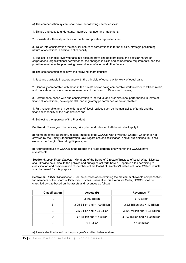a) The compensation system shall have the following characteristics:

1. Simple and easy to understand, interpret, manage, and implement;

2. Consistent with best practices for public and private corporations; and

3. Takes into consideration the peculiar nature of corporations in terms of size, strategic positioning, nature of operations, and financial capability.

4. Subject to periodic review to take into account prevailing best practices, the peculiar nature of corporations, organizational performance, the changes in skills and competence requirements, and the possible erosion in the purchasing power due to inflation and other factors.

b) The compensation shall have the following characteristics:

1. Just and equitable in accordance with the principle of equal pay for work of equal value;

2. Generally comparable with those in the private sector doing comparable work in order to attract, retain, and motivate a corps of competent members of the Board of Directors/Trustees;

3. Performance-based with due consideration to individual and organizational performance in terms of financial, operational, developmental, and regulatory performance where applicable;

4. Fair, reasonable, and in consideration of fiscal realities such as the availability of funds and the financial capability of the organization; and

5. Subject to the approval of the President.

**Section 4.** *Coverage* - The policies, principles, and rules set forth herein shall apply to:

a) Members of the Board of Directors/Trustees of all GOCCs, with or without Charter, whether or not covered by the Salary Standardization Law, regardless of classification. and all subsidiaries, but shall exclude the Bangko Sentral ng Pilipinas; and

b) Representatives of GOCCs in the Boards of private corporations wherein the GOCCs have investments.

**Section 5.** *Local Water Districts* - Members of the Board of Directors/Trustees of Local Water Districts shall likewise be subject to the policies and principles set forth herein. Separate rules pertaining to classification and compensation of members of the Board of Directors/Trustees of Local Water Districts shall be issued for this purpose.

**Section 6.** *GOCC Classification* - For the purpose of determining the maximum allowable compensation for members of the Board of Directors/Trustees pursuant to this Executive Order, GOCCs shall be classified by size based on the assets and revenues as follows:

| <b>Classification</b> | Assets (P)                          | <b>Revenues (P)</b>                  |
|-----------------------|-------------------------------------|--------------------------------------|
| A                     | $\geq$ 100 Billion                  | $\geq$ 10 Billion                    |
| в                     | $\geq$ 25 Billion and < 100 Billion | $\geq$ 2.5 Billion and < 10 Billion  |
| C                     | $\geq$ 5 Billion and < 25 Billion   | $\geq$ 500 million and < 2.5 Billion |
|                       | $\geq$ 1 Billion and < 5 Billion    | $\geq$ 100 million and < 500 million |
|                       | $<$ 1 Billion                       | $< 100$ million                      |

a) Assets shall be based on the prior year's audited balance sheet;

**15 |** citem board meeting procedures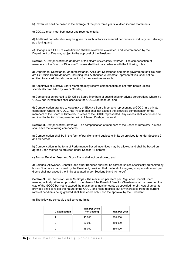b) Revenues shall be based in the average of the prior three years' audited income statements;

c) GOCCs must meet both asset and revenue criteria;

d) Additional consideration may be given for such factors as financial performance, industry, and strategic positioning; and

e) Changes in a GOCC's classification shall be reviewed, evaluated, and recommended by the Department of Finance, subject to the approval of the President.

**Section 7.** *Compensation of Members of the Board of Directors/Trustees* - The compensation of members of the Board of Directors/Trustees shall be in accordance with the following rules:

a) Department Secretaries, Undersecretaries, Assistant Secretaries and other government officials, who are Ex-Officio Board Members, including their Authorized Alternates/Representatives, shall not be entitled to any additional compensation for their services as such;

b) Appointive or Elective Board Members may receive compensation as set forth herein unless specifically prohibited by law or Charter;

c) Compensation granted to Ex-Officio Board Members of subsidiaries or private corporations wherein a GOCC has investments shall accrue to the GOCC represented; and

d) Compensation granted to Appointive or Elective Board Members representing a GOCC in a private corporation where the GOCC has investments shall not exceed the allowable compensation of the members of the Board of Directors/Trustees of the GOCC represented. Any excess shall accrue and be remitted to the GOCC represented within fifteen (15) days.*1avvphi1*

**Section 8.** *Compensation Structure* - The compensation of members of the Board of Directors/Trustees shall have the following components:

a) Compensation shall be in the form of per diems and subject to limits as provided for under Sections 9 and 10 hereof;

b) Compensation in the form of Performance-Based Incentives may be allowed and shall be based on agreed upon metrics as provided under Section 11 hereof;

c) Annual Retainer Fees and Stock Plans shall not be allowed; and

d) Salaries, Allowance, Benefits, and other Bonuses shall not be allowed unless specifically authorized by law or Charter and approved by the President, provided that the total of foregoing compensation and per diems shall not exceed the limits stipulated under Sections 9 and 10 hereof.

**Section 9.** *Per Diems for Board Meetings* - The maximum per diem per Regular or Special Board meeting actually attended provided to members of the Board of Directors/Trustees shall be based on the size of the GOCC but not to exceed the maximum annual amounts as specified herein. Actual amounts provided shall consider the nature of the GOCC and fiscal realities, but any increases from the current rates of per diems being granted shall take effect only upon the approval by the President.

a) The following schedule shall serve as limits:

| <b>Classification</b> | <b>Max Per Diem</b><br><b>Per Meeting</b> | Max Per year |
|-----------------------|-------------------------------------------|--------------|
|                       | 40,000                                    | 960,000      |
| в                     | 20,000                                    | 480,000      |
| C                     | 15,000                                    | 360,000      |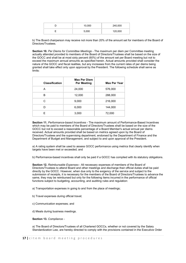| 10,000 | 240,000 |
|--------|---------|
| 5,000  | 120,000 |

b) The Board chairperson may receive not more than 20% of the amount set for members of the Board of Directors/Trustees

**Section 10.** *Per Diems for Committee Meetings* - The maximum per diem per Committee meeting actually attended provided to members of the Board of Directors/Trustees shall be based on the size of the GOCC and shall be at most sixty percent (60%) of the amount set per Board meeting but not to exceed the maximum annual amounts as specified herein. Actual amounts provided shall consider the nature of the GOCC and fiscal realities, but any increases from the current rates of per diems being granted shall take effect only upon approval by the President. The following schedule shall serve as limits:

| <b>Classification</b> | <b>Max Per Diem</b><br><b>Per Meeting</b> | <b>Max Per Year</b> |
|-----------------------|-------------------------------------------|---------------------|
| A                     | 24,000                                    | 576,000             |
| в                     | 12,000                                    | 288,000             |
| С                     | 9,000                                     | 216,000             |
| D                     | 6,000                                     | 144,000             |
| F                     | 3,000                                     | 72,000              |

**Section 11.** *Performance-based Incentives* - The maximum amount of Performance-Based Incentives which may be paid to members of the Board of Directors/Trustees shall be based on the size of the GOCC but not to exceed a reasonable percentage of a Board Member's actual annual per diems received. Actual amounts provided shall be based on metrics agreed upon by the Board of Directors/Trustees and the supervising department, endorsed by the Department of Finance and the Department of Budget and Management, and subject to and upon approval of the President.

a) A rating system shall be used to assess GOCC performance using metrics that clearly identify when targets have been met or exceeded; and

b) Performance-based incentives shall only be paid if a GOCC has complied with its statutory obligations.

**Section 12.** *Reimbursable Expenses* - All necessary expenses of members of the Board of Directors/Trustees to attend Board and other meetings and discharge their official duties shall be paid directly by the GOCC. However, when due only to the exigency of the service and subject to the submission of receipts, it is necessary for the members of the Board of Directors/Trustees to advance the same, they may be reimbursed but only for the following items incurred in the performance of official functions subject to budgeting, accounting, and auditing rules and regulation:

a) Transportation expenses in going to and from the place of meetings;

- b) Travel expenses during official travel;
- c) Communication expenses; and
- d) Meals during business meetings.

**Section 13.** *Compliance -*

a) The Board of Directors/Trustees of all Chartered GOCCs, whether or not covered by the Salary Standardization Law, are hereby directed to comply with the provisions contained in the Executive Order